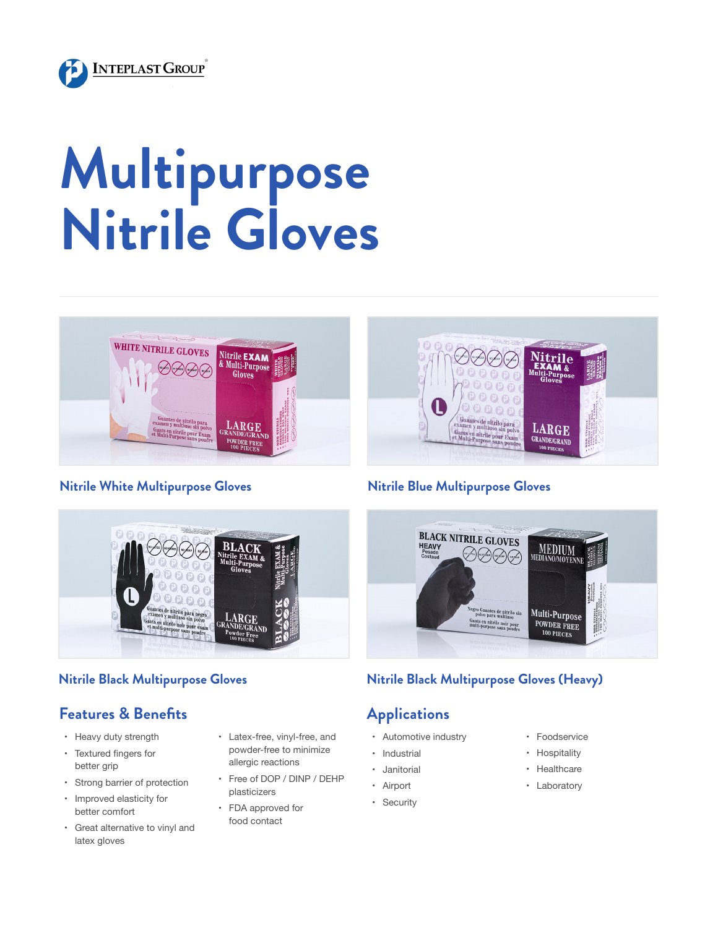

# **Multipurpose Nitrile Gloves**



#### **Nitrile White Multipurpose Gloves Nitrile Blue Multipurpose Gloves**



# **Features & Benefits**

- • Heavy duty strength
- • Textured fingers for better grip
- • Strong barrier of protection
- • Improved elasticity for better comfort
- • Great alternative to vinyl and latex gloves
- • Latex-free, vinyl-free, and powder-free to minimize allergic reactions
- • Free of DOP / DINP / DEHP plasticizers
- • FDA approved for food contact

<sup>ntes</sup> de nitrilo para<br>1 y multiuso sin poly

unts en nitrile pour Exan

LARGE

**GRANDE/GRAND** 



### **Nitrile Black Multipurpose Gloves Nitrile Black Multipurpose Gloves (Heavy)**

# **Applications**

- • Automotive industry
- • Industrial
- • Janitorial
- • Airport
- • Security
- • Foodservice
- • Hospitality
- • Healthcare
- • Laboratory